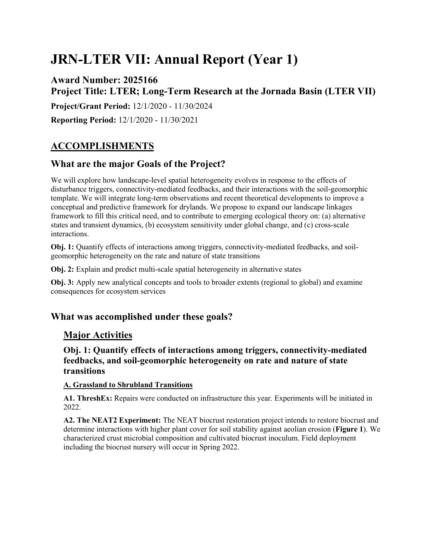# **JRN-LTER VII: Annual Report (Year 1)**

# **Award Number: 2025166 Project Title: LTER; Long-Term Research at the Jornada Basin (LTER VII)**

**Project/Grant Period:** 12/1/2020 - 11/30/2024

**Reporting Period:** 12/1/2020 - 11/30/2021

# **ACCOMPLISHMENTS**

# **What are the major Goals of the Project?**

We will explore how landscape-level spatial heterogeneity evolves in response to the effects of disturbance triggers, connectivity-mediated feedbacks, and their interactions with the soil-geomorphic template. We will integrate long-term observations and recent theoretical developments to improve a conceptual and predictive framework for drylands. We propose to expand our landscape linkages framework to fill this critical need, and to contribute to emerging ecological theory on: (a) alternative states and transient dynamics, (b) ecosystem sensitivity under global change, and (c) cross-scale interactions.

**Obj. 1:** Quantify effects of interactions among triggers, connectivity-mediated feedbacks, and soilgeomorphic heterogeneity on the rate and nature of state transitions

**Obj. 2:** Explain and predict multi-scale spatial heterogeneity in alternative states

**Obj. 3:** Apply new analytical concepts and tools to broader extents (regional to global) and examine consequences for ecosystem services

# **What was accomplished under these goals?**

# **Major Activities**

**Obj. 1: Quantify effects of interactions among triggers, connectivity-mediated feedbacks, and soil-geomorphic heterogeneity on rate and nature of state transitions**

### **A. Grassland to Shrubland Transitions**

**A1. ThreshEx:** Repairs were conducted on infrastructure this year. Experiments will be initiated in 2022.

**A2. The NEAT2 Experiment:** The NEAT biocrust restoration project intends to restore biocrust and determine interactions with higher plant cover for soil stability against aeolian erosion (**Figure 1**). We characterized crust microbial composition and cultivated biocrust inoculum. Field deployment including the biocrust nursery will occur in Spring 2022.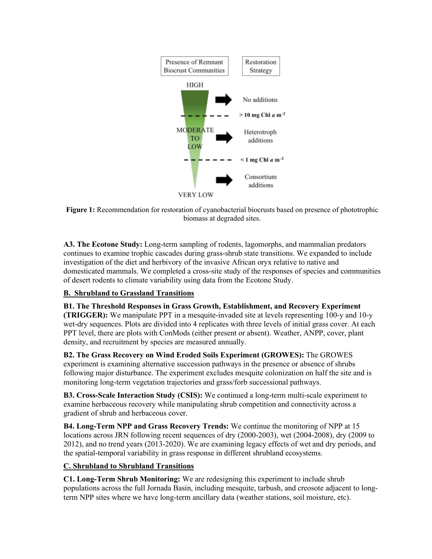

**Figure 1:** Recommendation for restoration of cyanobacterial biocrusts based on presence of phototrophic biomass at degraded sites.

**A3. The Ecotone Study:** Long-term sampling of rodents, lagomorphs, and mammalian predators continues to examine trophic cascades during grass-shrub state transitions. We expanded to include investigation of the diet and herbivory of the invasive African oryx relative to native and domesticated mammals. We completed a cross-site study of the responses of species and communities of desert rodents to climate variability using data from the Ecotone Study.

### **B. Shrubland to Grassland Transitions**

**B1. The Threshold Responses in Grass Growth, Establishment, and Recovery Experiment (TRIGGER):** We manipulate PPT in a mesquite-invaded site at levels representing 100-y and 10-y wet-dry sequences. Plots are divided into 4 replicates with three levels of initial grass cover. At each PPT level, there are plots with ConMods (either present or absent). Weather, ANPP, cover, plant density, and recruitment by species are measured annually.

**B2. The Grass Recovery on Wind Eroded Soils Experiment (GROWES):** The GROWES experiment is examining alternative succession pathways in the presence or absence of shrubs following major disturbance. The experiment excludes mesquite colonization on half the site and is monitoring long-term vegetation trajectories and grass/forb successional pathways.

**B3. Cross-Scale Interaction Study (CSIS):** We continued a long-term multi-scale experiment to examine herbaceous recovery while manipulating shrub competition and connectivity across a gradient of shrub and herbaceous cover.

**B4. Long-Term NPP and Grass Recovery Trends:** We continue the monitoring of NPP at 15 locations across JRN following recent sequences of dry (2000-2003), wet (2004-2008), dry (2009 to 2012), and no trend years (2013-2020). We are examining legacy effects of wet and dry periods, and the spatial-temporal variability in grass response in different shrubland ecosystems.

### **C. Shrubland to Shrubland Transitions**

**C1. Long-Term Shrub Monitoring:** We are redesigning this experiment to include shrub populations across the full Jornada Basin, including mesquite, tarbush, and creosote adjacent to longterm NPP sites where we have long-term ancillary data (weather stations, soil moisture, etc).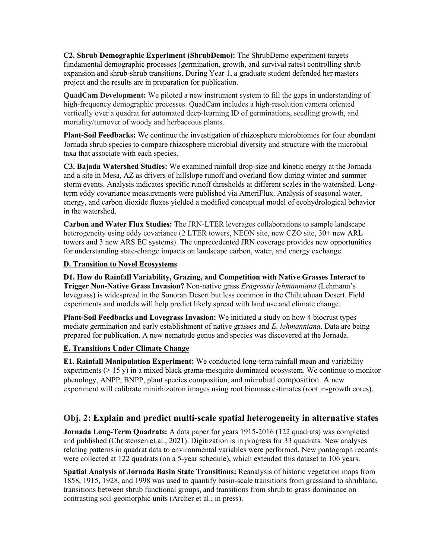**C2. Shrub Demographic Experiment (ShrubDemo):** The ShrubDemo experiment targets fundamental demographic processes (germination, growth, and survival rates) controlling shrub expansion and shrub-shrub transitions. During Year 1, a graduate student defended her masters project and the results are in preparation for publication.

**QuadCam Development:** We piloted a new instrument system to fill the gaps in understanding of high-frequency demographic processes. QuadCam includes a high-resolution camera oriented vertically over a quadrat for automated deep-learning ID of germinations, seedling growth, and mortality/turnover of woody and herbaceous plants.

**Plant-Soil Feedbacks:** We continue the investigation of rhizosphere microbiomes for four abundant Jornada shrub species to compare rhizosphere microbial diversity and structure with the microbial taxa that associate with each species.

**C3. Bajada Watershed Studies:** We examined rainfall drop-size and kinetic energy at the Jornada and a site in Mesa, AZ as drivers of hillslope runoff and overland flow during winter and summer storm events. Analysis indicates specific runoff thresholds at different scales in the watershed. Longterm eddy covariance measurements were published via AmeriFlux. Analysis of seasonal water, energy, and carbon dioxide fluxes yielded a modified conceptual model of ecohydrological behavior in the watershed.

**Carbon and Water Flux Studies:** The JRN-LTER leverages collaborations to sample landscape heterogeneity using eddy covariance (2 LTER towers, NEON site, new CZO site, 30+ new ARL towers and 3 new ARS EC systems). The unprecedented JRN coverage provides new opportunities for understanding state-change impacts on landscape carbon, water, and energy exchange.

#### **D. Transition to Novel Ecosystems**

**D1. How do Rainfall Variability, Grazing, and Competition with Native Grasses Interact to Trigger Non-Native Grass Invasion?** Non-native grass *Eragrostis lehmanniana* (Lehmann's lovegrass) is widespread in the Sonoran Desert but less common in the Chihuahuan Desert. Field experiments and models will help predict likely spread with land use and climate change.

**Plant-Soil Feedbacks and Lovegrass Invasion:** We initiated a study on how 4 biocrust types mediate germination and early establishment of native grasses and *E. lehmanniana*. Data are being prepared for publication. A new nematode genus and species was discovered at the Jornada.

#### **E. Transitions Under Climate Change**

**E1. Rainfall Manipulation Experiment:** We conducted long-term rainfall mean and variability experiments  $(> 15 \text{ y})$  in a mixed black grama-mesquite dominated ecosystem. We continue to monitor phenology, ANPP, BNPP, plant species composition, and microbial composition. A new experiment will calibrate minirhizotron images using root biomass estimates (root in-growth cores).

### **Obj. 2: Explain and predict multi-scale spatial heterogeneity in alternative states**

**Jornada Long-Term Quadrats:** A data paper for years 1915-2016 (122 quadrats) was completed and published (Christensen et al., 2021). Digitization is in progress for 33 quadrats. New analyses relating patterns in quadrat data to environmental variables were performed. New pantograph records were collected at 122 quadrats (on a 5-year schedule), which extended this dataset to 106 years.

**Spatial Analysis of Jornada Basin State Transitions:** Reanalysis of historic vegetation maps from 1858, 1915, 1928, and 1998 was used to quantify basin-scale transitions from grassland to shrubland, transitions between shrub functional groups, and transitions from shrub to grass dominance on contrasting soil-geomorphic units (Archer et al., in press).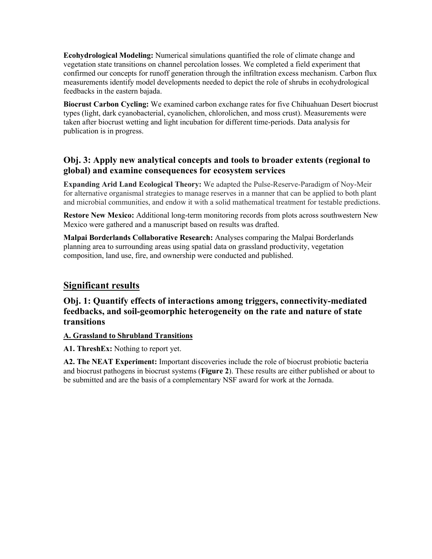**Ecohydrological Modeling:** Numerical simulations quantified the role of climate change and vegetation state transitions on channel percolation losses. We completed a field experiment that confirmed our concepts for runoff generation through the infiltration excess mechanism. Carbon flux measurements identify model developments needed to depict the role of shrubs in ecohydrological feedbacks in the eastern bajada.

**Biocrust Carbon Cycling:** We examined carbon exchange rates for five Chihuahuan Desert biocrust types (light, dark cyanobacterial, cyanolichen, chlorolichen, and moss crust). Measurements were taken after biocrust wetting and light incubation for different time-periods. Data analysis for publication is in progress.

# **Obj. 3: Apply new analytical concepts and tools to broader extents (regional to global) and examine consequences for ecosystem services**

**Expanding Arid Land Ecological Theory:** We adapted the Pulse-Reserve-Paradigm of Noy-Meir for alternative organismal strategies to manage reserves in a manner that can be applied to both plant and microbial communities, and endow it with a solid mathematical treatment for testable predictions.

**Restore New Mexico:** Additional long-term monitoring records from plots across southwestern New Mexico were gathered and a manuscript based on results was drafted.

**Malpai Borderlands Collaborative Research:** Analyses comparing the Malpai Borderlands planning area to surrounding areas using spatial data on grassland productivity, vegetation composition, land use, fire, and ownership were conducted and published.

# **Significant results**

# **Obj. 1: Quantify effects of interactions among triggers, connectivity-mediated feedbacks, and soil-geomorphic heterogeneity on the rate and nature of state transitions**

### **A. Grassland to Shrubland Transitions**

**A1. ThreshEx:** Nothing to report yet.

**A2. The NEAT Experiment:** Important discoveries include the role of biocrust probiotic bacteria and biocrust pathogens in biocrust systems (**Figure 2**). These results are either published or about to be submitted and are the basis of a complementary NSF award for work at the Jornada.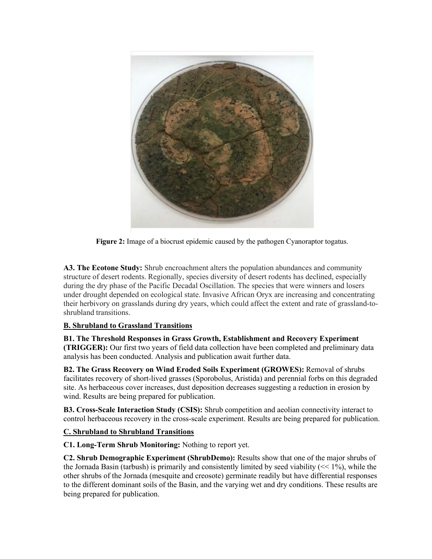

**Figure 2:** Image of a biocrust epidemic caused by the pathogen Cyanoraptor togatus.

**A3. The Ecotone Study:** Shrub encroachment alters the population abundances and community structure of desert rodents. Regionally, species diversity of desert rodents has declined, especially during the dry phase of the Pacific Decadal Oscillation. The species that were winners and losers under drought depended on ecological state. Invasive African Oryx are increasing and concentrating their herbivory on grasslands during dry years, which could affect the extent and rate of grassland-toshrubland transitions.

### **B. Shrubland to Grassland Transitions**

**B1. The Threshold Responses in Grass Growth, Establishment and Recovery Experiment (TRIGGER):** Our first two years of field data collection have been completed and preliminary data analysis has been conducted. Analysis and publication await further data.

**B2. The Grass Recovery on Wind Eroded Soils Experiment (GROWES):** Removal of shrubs facilitates recovery of short-lived grasses (Sporobolus, Aristida) and perennial forbs on this degraded site. As herbaceous cover increases, dust deposition decreases suggesting a reduction in erosion by wind. Results are being prepared for publication.

**B3. Cross-Scale Interaction Study (CSIS):** Shrub competition and aeolian connectivity interact to control herbaceous recovery in the cross-scale experiment. Results are being prepared for publication.

### **C. Shrubland to Shrubland Transitions**

**C1. Long-Term Shrub Monitoring:** Nothing to report yet.

**C2. Shrub Demographic Experiment (ShrubDemo):** Results show that one of the major shrubs of the Jornada Basin (tarbush) is primarily and consistently limited by seed viability  $(\leq 1\%)$ , while the other shrubs of the Jornada (mesquite and creosote) germinate readily but have differential responses to the different dominant soils of the Basin, and the varying wet and dry conditions. These results are being prepared for publication.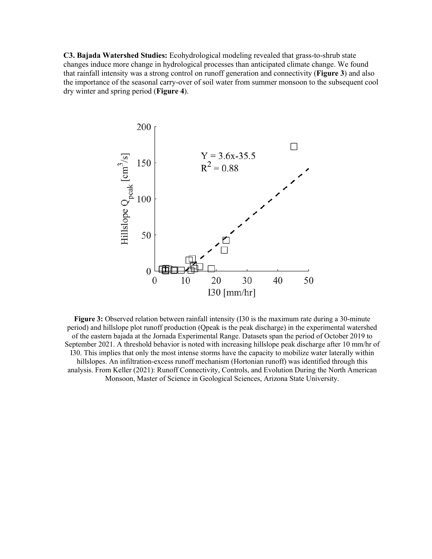**C3. Bajada Watershed Studies:** Ecohydrological modeling revealed that grass-to-shrub state changes induce more change in hydrological processes than anticipated climate change. We found that rainfall intensity was a strong control on runoff generation and connectivity (**Figure 3**) and also the importance of the seasonal carry-over of soil water from summer monsoon to the subsequent cool dry winter and spring period (**Figure 4**).



**Figure 3:** Observed relation between rainfall intensity (I30 is the maximum rate during a 30-minute period) and hillslope plot runoff production (Qpeak is the peak discharge) in the experimental watershed of the eastern bajada at the Jornada Experimental Range. Datasets span the period of October 2019 to September 2021. A threshold behavior is noted with increasing hillslope peak discharge after 10 mm/hr of I30. This implies that only the most intense storms have the capacity to mobilize water laterally within hillslopes. An infiltration-excess runoff mechanism (Hortonian runoff) was identified through this analysis. From Keller (2021): Runoff Connectivity, Controls, and Evolution During the North American Monsoon, Master of Science in Geological Sciences, Arizona State University.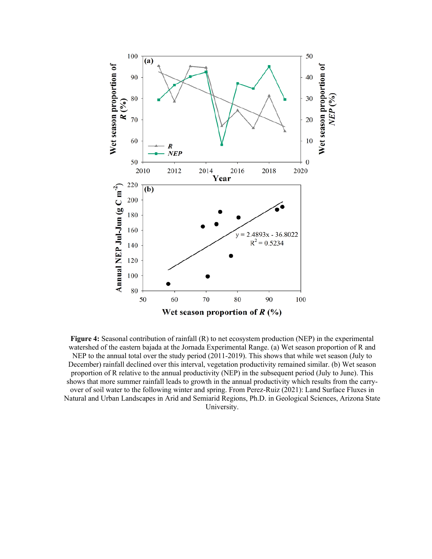

**Figure 4:** Seasonal contribution of rainfall (R) to net ecosystem production (NEP) in the experimental watershed of the eastern bajada at the Jornada Experimental Range. (a) Wet season proportion of R and NEP to the annual total over the study period (2011-2019). This shows that while wet season (July to December) rainfall declined over this interval, vegetation productivity remained similar. (b) Wet season proportion of R relative to the annual productivity (NEP) in the subsequent period (July to June). This shows that more summer rainfall leads to growth in the annual productivity which results from the carryover of soil water to the following winter and spring. From Perez-Ruiz (2021): Land Surface Fluxes in Natural and Urban Landscapes in Arid and Semiarid Regions, Ph.D. in Geological Sciences, Arizona State University.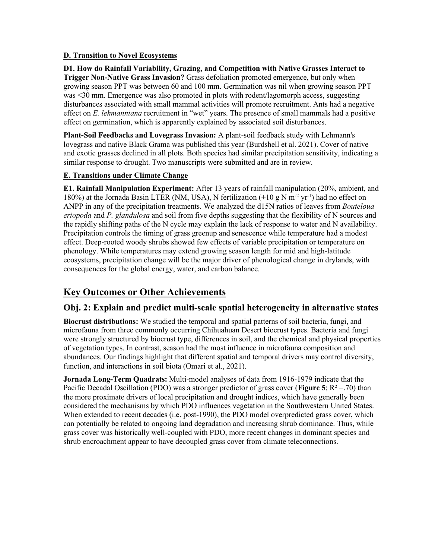#### **D. Transition to Novel Ecosystems**

**D1. How do Rainfall Variability, Grazing, and Competition with Native Grasses Interact to Trigger Non-Native Grass Invasion?** Grass defoliation promoted emergence, but only when growing season PPT was between 60 and 100 mm. Germination was nil when growing season PPT was <30 mm. Emergence was also promoted in plots with rodent/lagomorph access, suggesting disturbances associated with small mammal activities will promote recruitment. Ants had a negative effect on *E. lehmanniana* recruitment in "wet" years. The presence of small mammals had a positive effect on germination, which is apparently explained by associated soil disturbances.

**Plant-Soil Feedbacks and Lovegrass Invasion:** A plant-soil feedback study with Lehmann's lovegrass and native Black Grama was published this year (Burdshell et al. 2021). Cover of native and exotic grasses declined in all plots. Both species had similar precipitation sensitivity, indicating a similar response to drought. Two manuscripts were submitted and are in review.

#### **E. Transitions under Climate Change**

**E1. Rainfall Manipulation Experiment:** After 13 years of rainfall manipulation (20%, ambient, and 180%) at the Jornada Basin LTER (NM, USA), N fertilization  $(+10 \text{ g N m}^2 \text{ yr}^1)$  had no effect on ANPP in any of the precipitation treatments. We analyzed the d15N ratios of leaves from *Bouteloua eriopoda* and *P. glandulosa* and soil from five depths suggesting that the flexibility of N sources and the rapidly shifting paths of the N cycle may explain the lack of response to water and N availability. Precipitation controls the timing of grass greenup and senescence while temperature had a modest effect. Deep-rooted woody shrubs showed few effects of variable precipitation or temperature on phenology. While temperatures may extend growing season length for mid and high-latitude ecosystems, precipitation change will be the major driver of phenological change in drylands, with consequences for the global energy, water, and carbon balance.

# **Key Outcomes or Other Achievements**

# **Obj. 2: Explain and predict multi-scale spatial heterogeneity in alternative states**

**Biocrust distributions:** We studied the temporal and spatial patterns of soil bacteria, fungi, and microfauna from three commonly occurring Chihuahuan Desert biocrust types. Bacteria and fungi were strongly structured by biocrust type, differences in soil, and the chemical and physical properties of vegetation types. In contrast, season had the most influence in microfauna composition and abundances. Our findings highlight that different spatial and temporal drivers may control diversity, function, and interactions in soil biota (Omari et al., 2021).

**Jornada Long-Term Quadrats:** Multi-model analyses of data from 1916-1979 indicate that the Pacific Decadal Oscillation (PDO) was a stronger predictor of grass cover (**Figure 5**;  $R^2 = .70$ ) than the more proximate drivers of local precipitation and drought indices, which have generally been considered the mechanisms by which PDO influences vegetation in the Southwestern United States. When extended to recent decades (i.e. post-1990), the PDO model overpredicted grass cover, which can potentially be related to ongoing land degradation and increasing shrub dominance. Thus, while grass cover was historically well-coupled with PDO, more recent changes in dominant species and shrub encroachment appear to have decoupled grass cover from climate teleconnections.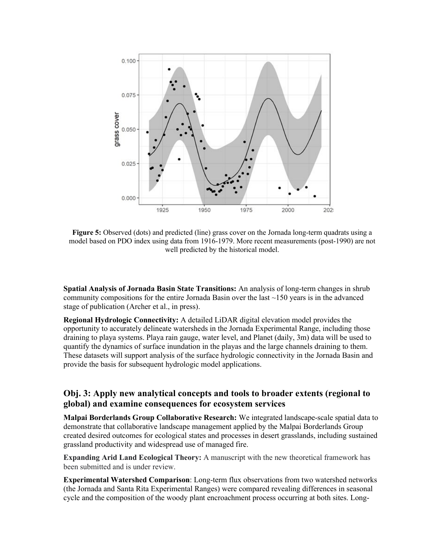

**Figure 5:** Observed (dots) and predicted (line) grass cover on the Jornada long-term quadrats using a model based on PDO index using data from 1916-1979. More recent measurements (post-1990) are not well predicted by the historical model.

**Spatial Analysis of Jornada Basin State Transitions:** An analysis of long-term changes in shrub community compositions for the entire Jornada Basin over the last  $\sim$ 150 years is in the advanced stage of publication (Archer et al., in press).

**Regional Hydrologic Connectivity:** A detailed LiDAR digital elevation model provides the opportunity to accurately delineate watersheds in the Jornada Experimental Range, including those draining to playa systems. Playa rain gauge, water level, and Planet (daily, 3m) data will be used to quantify the dynamics of surface inundation in the playas and the large channels draining to them. These datasets will support analysis of the surface hydrologic connectivity in the Jornada Basin and provide the basis for subsequent hydrologic model applications.

### **Obj. 3: Apply new analytical concepts and tools to broader extents (regional to global) and examine consequences for ecosystem services**

**Malpai Borderlands Group Collaborative Research:** We integrated landscape-scale spatial data to demonstrate that collaborative landscape management applied by the Malpai Borderlands Group created desired outcomes for ecological states and processes in desert grasslands, including sustained grassland productivity and widespread use of managed fire.

**Expanding Arid Land Ecological Theory:** A manuscript with the new theoretical framework has been submitted and is under review.

**Experimental Watershed Comparison**: Long-term flux observations from two watershed networks (the Jornada and Santa Rita Experimental Ranges) were compared revealing differences in seasonal cycle and the composition of the woody plant encroachment process occurring at both sites. Long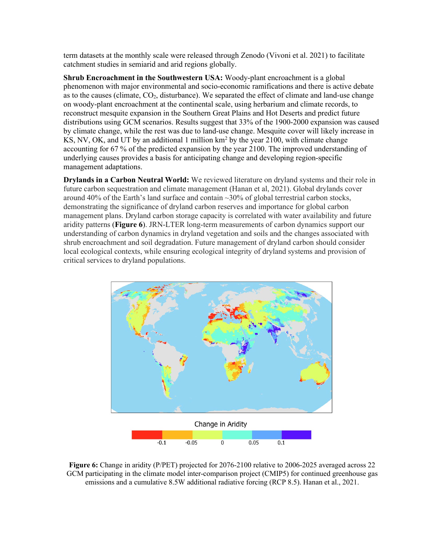term datasets at the monthly scale were released through Zenodo (Vivoni et al. 2021) to facilitate catchment studies in semiarid and arid regions globally.

**Shrub Encroachment in the Southwestern USA:** Woody-plant encroachment is a global phenomenon with major environmental and socio-economic ramifications and there is active debate as to the causes (climate,  $CO<sub>2</sub>$ , disturbance). We separated the effect of climate and land-use change on woody-plant encroachment at the continental scale, using herbarium and climate records, to reconstruct mesquite expansion in the Southern Great Plains and Hot Deserts and predict future distributions using GCM scenarios. Results suggest that 33% of the 1900-2000 expansion was caused by climate change, while the rest was due to land-use change. Mesquite cover will likely increase in KS, NV, OK, and UT by an additional 1 million  $km^2$  by the year 2100, with climate change accounting for 67 % of the predicted expansion by the year 2100. The improved understanding of underlying causes provides a basis for anticipating change and developing region-specific management adaptations.

**Drylands in a Carbon Neutral World:** We reviewed literature on dryland systems and their role in future carbon sequestration and climate management (Hanan et al, 2021). Global drylands cover around 40% of the Earth's land surface and contain  $\sim$ 30% of global terrestrial carbon stocks, demonstrating the significance of dryland carbon reserves and importance for global carbon management plans. Dryland carbon storage capacity is correlated with water availability and future aridity patterns (**Figure 6**). JRN-LTER long-term measurements of carbon dynamics support our understanding of carbon dynamics in dryland vegetation and soils and the changes associated with shrub encroachment and soil degradation. Future management of dryland carbon should consider local ecological contexts, while ensuring ecological integrity of dryland systems and provision of critical services to dryland populations.



**Figure 6:** Change in aridity (P/PET) projected for 2076-2100 relative to 2006-2025 averaged across 22 GCM participating in the climate model inter-comparison project (CMIP5) for continued greenhouse gas emissions and a cumulative 8.5W additional radiative forcing (RCP 8.5). Hanan et al., 2021.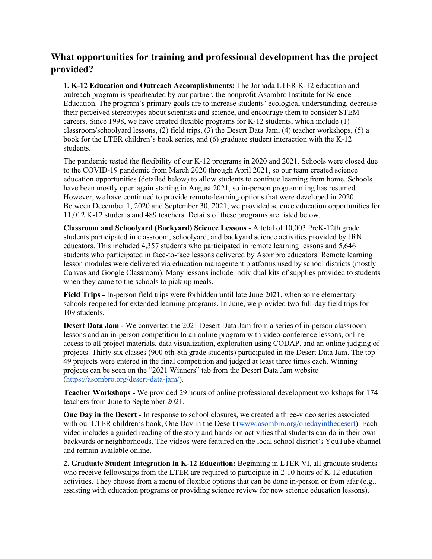# **What opportunities for training and professional development has the project provided?**

**1. K-12 Education and Outreach Accomplishments:** The Jornada LTER K-12 education and outreach program is spearheaded by our partner, the nonprofit Asombro Institute for Science Education. The program's primary goals are to increase students' ecological understanding, decrease their perceived stereotypes about scientists and science, and encourage them to consider STEM careers. Since 1998, we have created flexible programs for K-12 students, which include (1) classroom/schoolyard lessons, (2) field trips, (3) the Desert Data Jam, (4) teacher workshops, (5) a book for the LTER children's book series, and (6) graduate student interaction with the K-12 students.

The pandemic tested the flexibility of our K-12 programs in 2020 and 2021. Schools were closed due to the COVID-19 pandemic from March 2020 through April 2021, so our team created science education opportunities (detailed below) to allow students to continue learning from home. Schools have been mostly open again starting in August 2021, so in-person programming has resumed. However, we have continued to provide remote-learning options that were developed in 2020. Between December 1, 2020 and September 30, 2021, we provided science education opportunities for 11,012 K-12 students and 489 teachers. Details of these programs are listed below.

**Classroom and Schoolyard (Backyard) Science Lessons** - A total of 10,003 PreK-12th grade students participated in classroom, schoolyard, and backyard science activities provided by JRN educators. This included 4,357 students who participated in remote learning lessons and 5,646 students who participated in face-to-face lessons delivered by Asombro educators. Remote learning lesson modules were delivered via education management platforms used by school districts (mostly Canvas and Google Classroom). Many lessons include individual kits of supplies provided to students when they came to the schools to pick up meals.

**Field Trips -** In-person field trips were forbidden until late June 2021, when some elementary schools reopened for extended learning programs. In June, we provided two full-day field trips for 109 students.

**Desert Data Jam -** We converted the 2021 Desert Data Jam from a series of in-person classroom lessons and an in-person competition to an online program with video-conference lessons, online access to all project materials, data visualization, exploration using CODAP, and an online judging of projects. Thirty-six classes (900 6th-8th grade students) participated in the Desert Data Jam. The top 49 projects were entered in the final competition and judged at least three times each. Winning projects can be seen on the "2021 Winners" tab from the Desert Data Jam website [\(https://asombro.org/desert-data-jam/\)](https://asombro.org/desert-data-jam/).

**Teacher Workshops -** We provided 29 hours of online professional development workshops for 174 teachers from June to September 2021.

**One Day in the Desert -** In response to school closures, we created a three-video series associated with our LTER children's book, One Day in the Desert [\(www.asombro.org/onedayinthedesert\)](http://www.asombro.org/onedayinthedesert). Each video includes a guided reading of the story and hands-on activities that students can do in their own backyards or neighborhoods. The videos were featured on the local school district's YouTube channel and remain available online.

**2. Graduate Student Integration in K-12 Education:** Beginning in LTER VI, all graduate students who receive fellowships from the LTER are required to participate in 2-10 hours of K-12 education activities. They choose from a menu of flexible options that can be done in-person or from afar (e.g., assisting with education programs or providing science review for new science education lessons).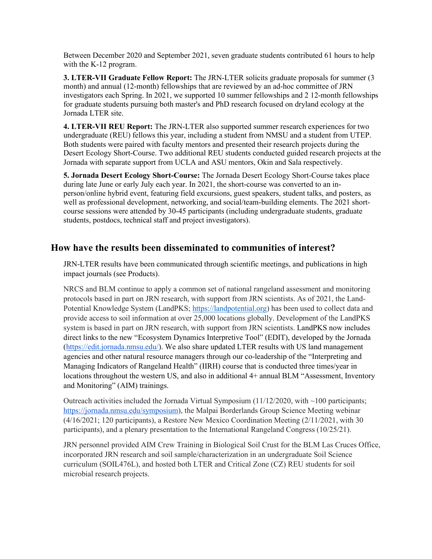Between December 2020 and September 2021, seven graduate students contributed 61 hours to help with the K-12 program.

**3. LTER-VII Graduate Fellow Report:** The JRN-LTER solicits graduate proposals for summer (3 month) and annual (12-month) fellowships that are reviewed by an ad-hoc committee of JRN investigators each Spring. In 2021, we supported 10 summer fellowships and 2 12-month fellowships for graduate students pursuing both master's and PhD research focused on dryland ecology at the Jornada LTER site.

**4. LTER-VII REU Report:** The JRN-LTER also supported summer research experiences for two undergraduate (REU) fellows this year, including a student from NMSU and a student from UTEP. Both students were paired with faculty mentors and presented their research projects during the Desert Ecology Short-Course. Two additional REU students conducted guided research projects at the Jornada with separate support from UCLA and ASU mentors, Okin and Sala respectively.

**5. Jornada Desert Ecology Short-Course:** The Jornada Desert Ecology Short-Course takes place during late June or early July each year. In 2021, the short-course was converted to an inperson/online hybrid event, featuring field excursions, guest speakers, student talks, and posters, as well as professional development, networking, and social/team-building elements. The 2021 shortcourse sessions were attended by 30-45 participants (including undergraduate students, graduate students, postdocs, technical staff and project investigators).

# **How have the results been disseminated to communities of interest?**

JRN-LTER results have been communicated through scientific meetings, and publications in high impact journals (see Products).

NRCS and BLM continue to apply a common set of national rangeland assessment and monitoring protocols based in part on JRN research, with support from JRN scientists. As of 2021, the Land-Potential Knowledge System (LandPKS; [https://landpotential.org\)](https://nam01.safelinks.protection.outlook.com/?url=https%3A%2F%2Flandpotential.org&data=01%7C01%7Cnhanan%40nmsu.edu%7Ca7fe6e8b93944d2c1ad208d75fd98d66%7Ca3ec87a89fb84158ba8ff11bace1ebaa%7C1&sdata=FB3eRIJC25JPevQEaA0WY1UFnJQdXxeRHIEPtxx7a%2BI%3D&reserved=0) has been used to collect data and provide access to soil information at over 25,000 locations globally. Development of the LandPKS system is based in part on JRN research, with support from JRN scientists. LandPKS now includes direct links to the new "Ecosystem Dynamics Interpretive Tool" (EDIT), developed by the Jornada [\(https://edit.jornada.nmsu.edu/\)](https://edit.jornada.nmsu.edu/). We also share updated LTER results with US land management agencies and other natural resource managers through our co-leadership of the "Interpreting and Managing Indicators of Rangeland Health" (IIRH) course that is conducted three times/year in locations throughout the western US, and also in additional 4+ annual BLM "Assessment, Inventory and Monitoring" (AIM) trainings.

Outreach activities included the Jornada Virtual Symposium  $(11/12/2020)$ , with  $\sim$ 100 participants; [https://jornada.nmsu.edu/symposium\)](https://jornada.nmsu.edu/symposium), the Malpai Borderlands Group Science Meeting webinar (4/16/2021; 120 participants), a Restore New Mexico Coordination Meeting (2/11/2021, with 30 participants), and a plenary presentation to the International Rangeland Congress (10/25/21).

JRN personnel provided AIM Crew Training in Biological Soil Crust for the BLM Las Cruces Office, incorporated JRN research and soil sample/characterization in an undergraduate Soil Science curriculum (SOIL476L), and hosted both LTER and Critical Zone (CZ) REU students for soil microbial research projects.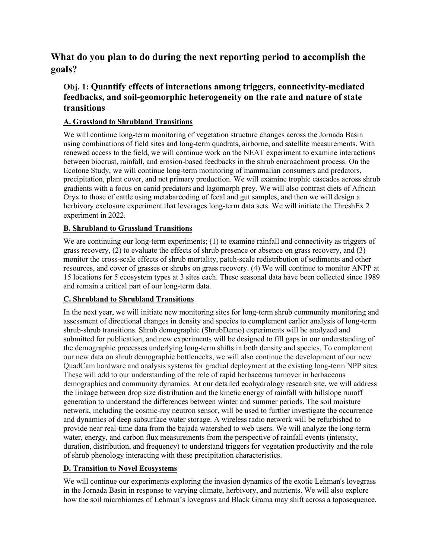**What do you plan to do during the next reporting period to accomplish the goals?**

# **Obj. 1: Quantify effects of interactions among triggers, connectivity-mediated feedbacks, and soil-geomorphic heterogeneity on the rate and nature of state transitions**

### **A. Grassland to Shrubland Transitions**

We will continue long-term monitoring of vegetation structure changes across the Jornada Basin using combinations of field sites and long-term quadrats, airborne, and satellite measurements. With renewed access to the field, we will continue work on the NEAT experiment to examine interactions between biocrust, rainfall, and erosion-based feedbacks in the shrub encroachment process. On the Ecotone Study, we will continue long-term monitoring of mammalian consumers and predators, precipitation, plant cover, and net primary production. We will examine trophic cascades across shrub gradients with a focus on canid predators and lagomorph prey. We will also contrast diets of African Oryx to those of cattle using metabarcoding of fecal and gut samples, and then we will design a herbivory exclosure experiment that leverages long-term data sets. We will initiate the ThreshEx 2 experiment in 2022.

### **B. Shrubland to Grassland Transitions**

We are continuing our long-term experiments; (1) to examine rainfall and connectivity as triggers of grass recovery, (2) to evaluate the effects of shrub presence or absence on grass recovery, and (3) monitor the cross-scale effects of shrub mortality, patch-scale redistribution of sediments and other resources, and cover of grasses or shrubs on grass recovery. (4) We will continue to monitor ANPP at 15 locations for 5 ecosystem types at 3 sites each. These seasonal data have been collected since 1989 and remain a critical part of our long-term data.

### **C. Shrubland to Shrubland Transitions**

In the next year, we will initiate new monitoring sites for long-term shrub community monitoring and assessment of directional changes in density and species to complement earlier analysis of long-term shrub-shrub transitions. Shrub demographic (ShrubDemo) experiments will be analyzed and submitted for publication, and new experiments will be designed to fill gaps in our understanding of the demographic processes underlying long-term shifts in both density and species. To complement our new data on shrub demographic bottlenecks, we will also continue the development of our new QuadCam hardware and analysis systems for gradual deployment at the existing long-term NPP sites. These will add to our understanding of the role of rapid herbaceous turnover in herbaceous demographics and community dynamics. At our detailed ecohydrology research site, we will address the linkage between drop size distribution and the kinetic energy of rainfall with hillslope runoff generation to understand the differences between winter and summer periods. The soil moisture network, including the cosmic-ray neutron sensor, will be used to further investigate the occurrence and dynamics of deep subsurface water storage. A wireless radio network will be refurbished to provide near real-time data from the bajada watershed to web users. We will analyze the long-term water, energy, and carbon flux measurements from the perspective of rainfall events (intensity, duration, distribution, and frequency) to understand triggers for vegetation productivity and the role of shrub phenology interacting with these precipitation characteristics.

### **D. Transition to Novel Ecosystems**

We will continue our experiments exploring the invasion dynamics of the exotic Lehman's lovegrass in the Jornada Basin in response to varying climate, herbivory, and nutrients. We will also explore how the soil microbiomes of Lehman's lovegrass and Black Grama may shift across a toposequence.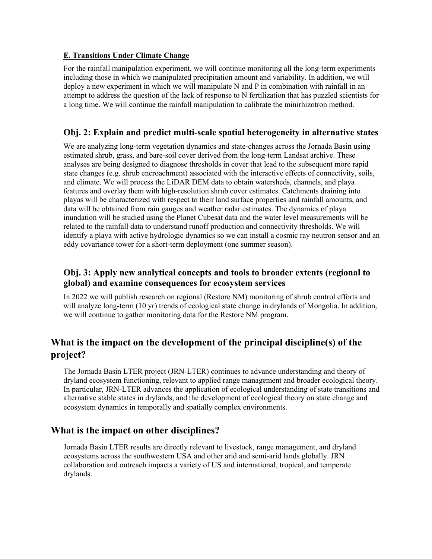#### **E. Transitions Under Climate Change**

For the rainfall manipulation experiment, we will continue monitoring all the long-term experiments including those in which we manipulated precipitation amount and variability. In addition, we will deploy a new experiment in which we will manipulate N and P in combination with rainfall in an attempt to address the question of the lack of response to N fertilization that has puzzled scientists for a long time. We will continue the rainfall manipulation to calibrate the minirhizotron method.

### **Obj. 2: Explain and predict multi-scale spatial heterogeneity in alternative states**

We are analyzing long-term vegetation dynamics and state-changes across the Jornada Basin using estimated shrub, grass, and bare-soil cover derived from the long-term Landsat archive. These analyses are being designed to diagnose thresholds in cover that lead to the subsequent more rapid state changes (e.g. shrub encroachment) associated with the interactive effects of connectivity, soils, and climate. We will process the LiDAR DEM data to obtain watersheds, channels, and playa features and overlay them with high-resolution shrub cover estimates. Catchments draining into playas will be characterized with respect to their land surface properties and rainfall amounts, and data will be obtained from rain gauges and weather radar estimates. The dynamics of playa inundation will be studied using the Planet Cubesat data and the water level measurements will be related to the rainfall data to understand runoff production and connectivity thresholds. We will identify a playa with active hydrologic dynamics so we can install a cosmic ray neutron sensor and an eddy covariance tower for a short-term deployment (one summer season).

# **Obj. 3: Apply new analytical concepts and tools to broader extents (regional to global) and examine consequences for ecosystem services**

In 2022 we will publish research on regional (Restore NM) monitoring of shrub control efforts and will analyze long-term (10 yr) trends of ecological state change in drylands of Mongolia. In addition, we will continue to gather monitoring data for the Restore NM program.

# **What is the impact on the development of the principal discipline(s) of the project?**

The Jornada Basin LTER project (JRN-LTER) continues to advance understanding and theory of dryland ecosystem functioning, relevant to applied range management and broader ecological theory. In particular, JRN-LTER advances the application of ecological understanding of state transitions and alternative stable states in drylands, and the development of ecological theory on state change and ecosystem dynamics in temporally and spatially complex environments.

# **What is the impact on other disciplines?**

Jornada Basin LTER results are directly relevant to livestock, range management, and dryland ecosystems across the southwestern USA and other arid and semi-arid lands globally. JRN collaboration and outreach impacts a variety of US and international, tropical, and temperate drylands.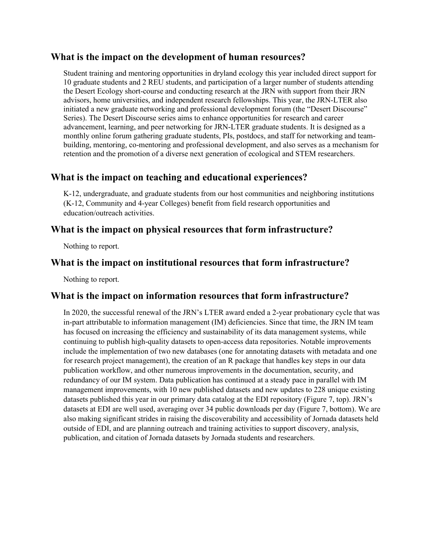### **What is the impact on the development of human resources?**

Student training and mentoring opportunities in dryland ecology this year included direct support for 10 graduate students and 2 REU students, and participation of a larger number of students attending the Desert Ecology short-course and conducting research at the JRN with support from their JRN advisors, home universities, and independent research fellowships. This year, the JRN-LTER also initiated a new graduate networking and professional development forum (the "Desert Discourse" Series). The Desert Discourse series aims to enhance opportunities for research and career advancement, learning, and peer networking for JRN-LTER graduate students. It is designed as a monthly online forum gathering graduate students, PIs, postdocs, and staff for networking and teambuilding, mentoring, co-mentoring and professional development, and also serves as a mechanism for retention and the promotion of a diverse next generation of ecological and STEM researchers.

# **What is the impact on teaching and educational experiences?**

K-12, undergraduate, and graduate students from our host communities and neighboring institutions (K-12, Community and 4-year Colleges) benefit from field research opportunities and education/outreach activities.

# **What is the impact on physical resources that form infrastructure?**

Nothing to report.

# **What is the impact on institutional resources that form infrastructure?**

Nothing to report.

# **What is the impact on information resources that form infrastructure?**

In 2020, the successful renewal of the JRN's LTER award ended a 2-year probationary cycle that was in-part attributable to information management (IM) deficiencies. Since that time, the JRN IM team has focused on increasing the efficiency and sustainability of its data management systems, while continuing to publish high-quality datasets to open-access data repositories. Notable improvements include the implementation of two new databases (one for annotating datasets with metadata and one for research project management), the creation of an R package that handles key steps in our data publication workflow, and other numerous improvements in the documentation, security, and redundancy of our IM system. Data publication has continued at a steady pace in parallel with IM management improvements, with 10 new published datasets and new updates to 228 unique existing datasets published this year in our primary data catalog at the EDI repository (Figure 7, top). JRN's datasets at EDI are well used, averaging over 34 public downloads per day (Figure 7, bottom). We are also making significant strides in raising the discoverability and accessibility of Jornada datasets held outside of EDI, and are planning outreach and training activities to support discovery, analysis, publication, and citation of Jornada datasets by Jornada students and researchers.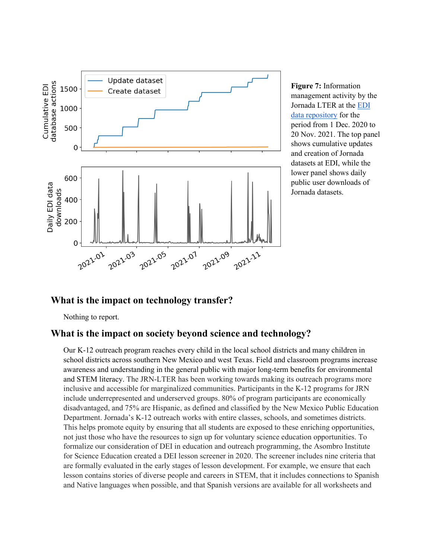

**Figure 7:** Information management activity by the Jornada LTER at the [EDI](https://portal.edirepository.org/)  [data repository](https://portal.edirepository.org/) for the period from 1 Dec. 2020 to 20 Nov. 2021. The top panel shows cumulative updates and creation of Jornada datasets at EDI, while the lower panel shows daily public user downloads of Jornada datasets.

# **What is the impact on technology transfer?**

Nothing to report.

### **What is the impact on society beyond science and technology?**

Our K-12 outreach program reaches every child in the local school districts and many children in school districts across southern New Mexico and west Texas. Field and classroom programs increase awareness and understanding in the general public with major long-term benefits for environmental and STEM literacy. The JRN-LTER has been working towards making its outreach programs more inclusive and accessible for marginalized communities. Participants in the K-12 programs for JRN include underrepresented and underserved groups. 80% of program participants are economically disadvantaged, and 75% are Hispanic, as defined and classified by the New Mexico Public Education Department. Jornada's K-12 outreach works with entire classes, schools, and sometimes districts. This helps promote equity by ensuring that all students are exposed to these enriching opportunities, not just those who have the resources to sign up for voluntary science education opportunities. To formalize our consideration of DEI in education and outreach programming, the Asombro Institute for Science Education created a DEI lesson screener in 2020. The screener includes nine criteria that are formally evaluated in the early stages of lesson development. For example, we ensure that each lesson contains stories of diverse people and careers in STEM, that it includes connections to Spanish and Native languages when possible, and that Spanish versions are available for all worksheets and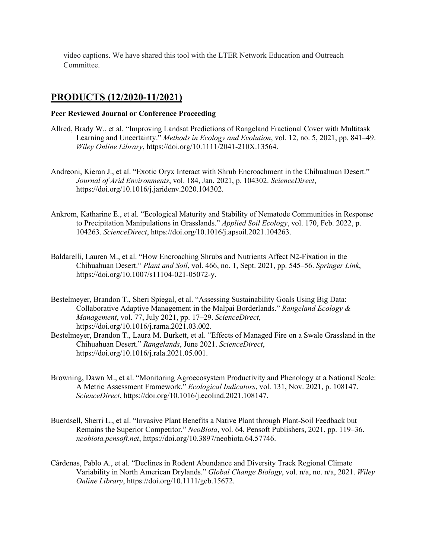video captions. We have shared this tool with the LTER Network Education and Outreach Committee.

# **PRODUCTS (12/2020-11/2021)**

#### **Peer Reviewed Journal or Conference Proceeding**

- Allred, Brady W., et al. "Improving Landsat Predictions of Rangeland Fractional Cover with Multitask Learning and Uncertainty." *Methods in Ecology and Evolution*, vol. 12, no. 5, 2021, pp. 841–49. *Wiley Online Library*, https://doi.org/10.1111/2041-210X.13564.
- Andreoni, Kieran J., et al. "Exotic Oryx Interact with Shrub Encroachment in the Chihuahuan Desert." *Journal of Arid Environments*, vol. 184, Jan. 2021, p. 104302. *ScienceDirect*, https://doi.org/10.1016/j.jaridenv.2020.104302.
- Ankrom, Katharine E., et al. "Ecological Maturity and Stability of Nematode Communities in Response to Precipitation Manipulations in Grasslands." *Applied Soil Ecology*, vol. 170, Feb. 2022, p. 104263. *ScienceDirect*, https://doi.org/10.1016/j.apsoil.2021.104263.
- Baldarelli, Lauren M., et al. "How Encroaching Shrubs and Nutrients Affect N2-Fixation in the Chihuahuan Desert." *Plant and Soil*, vol. 466, no. 1, Sept. 2021, pp. 545–56. *Springer Link*, https://doi.org/10.1007/s11104-021-05072-y.
- Bestelmeyer, Brandon T., Sheri Spiegal, et al. "Assessing Sustainability Goals Using Big Data: Collaborative Adaptive Management in the Malpai Borderlands." *Rangeland Ecology & Management*, vol. 77, July 2021, pp. 17–29. *ScienceDirect*, https://doi.org/10.1016/j.rama.2021.03.002.
- Bestelmeyer, Brandon T., Laura M. Burkett, et al. "Effects of Managed Fire on a Swale Grassland in the Chihuahuan Desert." *Rangelands*, June 2021. *ScienceDirect*, https://doi.org/10.1016/j.rala.2021.05.001.
- Browning, Dawn M., et al. "Monitoring Agroecosystem Productivity and Phenology at a National Scale: A Metric Assessment Framework." *Ecological Indicators*, vol. 131, Nov. 2021, p. 108147. *ScienceDirect*, https://doi.org/10.1016/j.ecolind.2021.108147.
- Buerdsell, Sherri L., et al. "Invasive Plant Benefits a Native Plant through Plant-Soil Feedback but Remains the Superior Competitor." *NeoBiota*, vol. 64, Pensoft Publishers, 2021, pp. 119–36. *neobiota.pensoft.net*, https://doi.org/10.3897/neobiota.64.57746.
- Cárdenas, Pablo A., et al. "Declines in Rodent Abundance and Diversity Track Regional Climate Variability in North American Drylands." *Global Change Biology*, vol. n/a, no. n/a, 2021. *Wiley Online Library*, https://doi.org/10.1111/gcb.15672.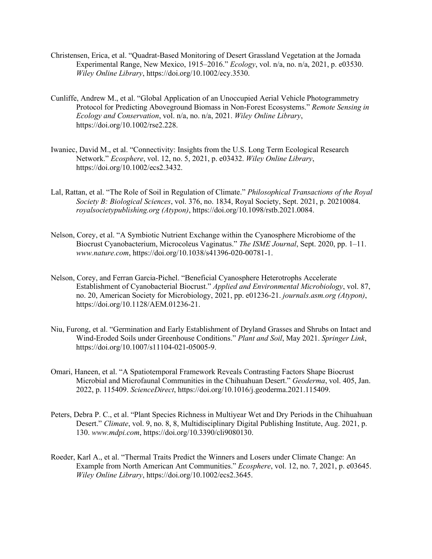- Christensen, Erica, et al. "Quadrat-Based Monitoring of Desert Grassland Vegetation at the Jornada Experimental Range, New Mexico, 1915–2016." *Ecology*, vol. n/a, no. n/a, 2021, p. e03530. *Wiley Online Library*, https://doi.org/10.1002/ecy.3530.
- Cunliffe, Andrew M., et al. "Global Application of an Unoccupied Aerial Vehicle Photogrammetry Protocol for Predicting Aboveground Biomass in Non-Forest Ecosystems." *Remote Sensing in Ecology and Conservation*, vol. n/a, no. n/a, 2021. *Wiley Online Library*, https://doi.org/10.1002/rse2.228.
- Iwaniec, David M., et al. "Connectivity: Insights from the U.S. Long Term Ecological Research Network." *Ecosphere*, vol. 12, no. 5, 2021, p. e03432. *Wiley Online Library*, https://doi.org/10.1002/ecs2.3432.
- Lal, Rattan, et al. "The Role of Soil in Regulation of Climate." *Philosophical Transactions of the Royal Society B: Biological Sciences*, vol. 376, no. 1834, Royal Society, Sept. 2021, p. 20210084. *royalsocietypublishing.org (Atypon)*, https://doi.org/10.1098/rstb.2021.0084.
- Nelson, Corey, et al. "A Symbiotic Nutrient Exchange within the Cyanosphere Microbiome of the Biocrust Cyanobacterium, Microcoleus Vaginatus." *The ISME Journal*, Sept. 2020, pp. 1–11. *www.nature.com*, https://doi.org/10.1038/s41396-020-00781-1.
- Nelson, Corey, and Ferran Garcia-Pichel. "Beneficial Cyanosphere Heterotrophs Accelerate Establishment of Cyanobacterial Biocrust." *Applied and Environmental Microbiology*, vol. 87, no. 20, American Society for Microbiology, 2021, pp. e01236-21. *journals.asm.org (Atypon)*, https://doi.org/10.1128/AEM.01236-21.
- Niu, Furong, et al. "Germination and Early Establishment of Dryland Grasses and Shrubs on Intact and Wind-Eroded Soils under Greenhouse Conditions." *Plant and Soil*, May 2021. *Springer Link*, https://doi.org/10.1007/s11104-021-05005-9.
- Omari, Haneen, et al. "A Spatiotemporal Framework Reveals Contrasting Factors Shape Biocrust Microbial and Microfaunal Communities in the Chihuahuan Desert." *Geoderma*, vol. 405, Jan. 2022, p. 115409. *ScienceDirect*, https://doi.org/10.1016/j.geoderma.2021.115409.
- Peters, Debra P. C., et al. "Plant Species Richness in Multiyear Wet and Dry Periods in the Chihuahuan Desert." *Climate*, vol. 9, no. 8, 8, Multidisciplinary Digital Publishing Institute, Aug. 2021, p. 130. *www.mdpi.com*, https://doi.org/10.3390/cli9080130.
- Roeder, Karl A., et al. "Thermal Traits Predict the Winners and Losers under Climate Change: An Example from North American Ant Communities." *Ecosphere*, vol. 12, no. 7, 2021, p. e03645. *Wiley Online Library*, https://doi.org/10.1002/ecs2.3645.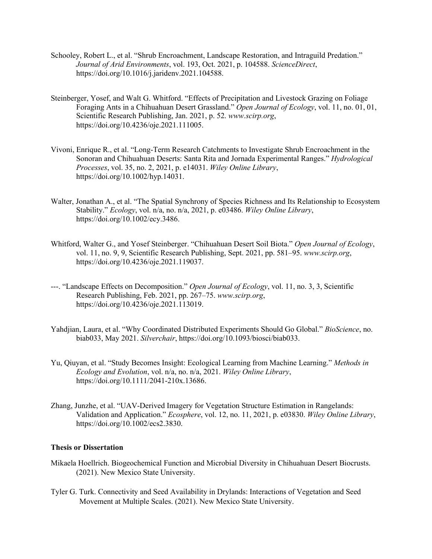- Schooley, Robert L., et al. "Shrub Encroachment, Landscape Restoration, and Intraguild Predation." *Journal of Arid Environments*, vol. 193, Oct. 2021, p. 104588. *ScienceDirect*, https://doi.org/10.1016/j.jaridenv.2021.104588.
- Steinberger, Yosef, and Walt G. Whitford. "Effects of Precipitation and Livestock Grazing on Foliage Foraging Ants in a Chihuahuan Desert Grassland." *Open Journal of Ecology*, vol. 11, no. 01, 01, Scientific Research Publishing, Jan. 2021, p. 52. *www.scirp.org*, https://doi.org/10.4236/oje.2021.111005.
- Vivoni, Enrique R., et al. "Long-Term Research Catchments to Investigate Shrub Encroachment in the Sonoran and Chihuahuan Deserts: Santa Rita and Jornada Experimental Ranges." *Hydrological Processes*, vol. 35, no. 2, 2021, p. e14031. *Wiley Online Library*, https://doi.org/10.1002/hyp.14031.
- Walter, Jonathan A., et al. "The Spatial Synchrony of Species Richness and Its Relationship to Ecosystem Stability." *Ecology*, vol. n/a, no. n/a, 2021, p. e03486. *Wiley Online Library*, https://doi.org/10.1002/ecy.3486.
- Whitford, Walter G., and Yosef Steinberger. "Chihuahuan Desert Soil Biota." *Open Journal of Ecology*, vol. 11, no. 9, 9, Scientific Research Publishing, Sept. 2021, pp. 581–95. *www.scirp.org*, https://doi.org/10.4236/oje.2021.119037.
- ---. "Landscape Effects on Decomposition." *Open Journal of Ecology*, vol. 11, no. 3, 3, Scientific Research Publishing, Feb. 2021, pp. 267–75. *www.scirp.org*, https://doi.org/10.4236/oje.2021.113019.
- Yahdjian, Laura, et al. "Why Coordinated Distributed Experiments Should Go Global." *BioScience*, no. biab033, May 2021. *Silverchair*, https://doi.org/10.1093/biosci/biab033.
- Yu, Qiuyan, et al. "Study Becomes Insight: Ecological Learning from Machine Learning." *Methods in Ecology and Evolution*, vol. n/a, no. n/a, 2021. *Wiley Online Library*, https://doi.org/10.1111/2041-210x.13686.
- Zhang, Junzhe, et al. "UAV-Derived Imagery for Vegetation Structure Estimation in Rangelands: Validation and Application." *Ecosphere*, vol. 12, no. 11, 2021, p. e03830. *Wiley Online Library*, https://doi.org/10.1002/ecs2.3830.

#### **Thesis or Dissertation**

- Mikaela Hoellrich. Biogeochemical Function and Microbial Diversity in Chihuahuan Desert Biocrusts. (2021). New Mexico State University.
- Tyler G. Turk. Connectivity and Seed Availability in Drylands: Interactions of Vegetation and Seed Movement at Multiple Scales. (2021). New Mexico State University.